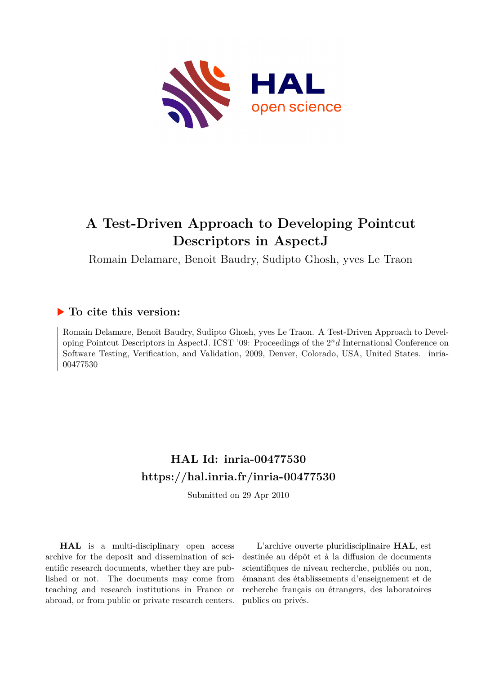

# **A Test-Driven Approach to Developing Pointcut Descriptors in AspectJ**

Romain Delamare, Benoit Baudry, Sudipto Ghosh, yves Le Traon

## **To cite this version:**

Romain Delamare, Benoit Baudry, Sudipto Ghosh, yves Le Traon. A Test-Driven Approach to Developing Pointcut Descriptors in AspectJ. ICST '09: Proceedings of the 2*nd* International Conference on Software Testing, Verification, and Validation, 2009, Denver, Colorado, USA, United States. inria-00477530ff

## **HAL Id: inria-00477530 <https://hal.inria.fr/inria-00477530>**

Submitted on 29 Apr 2010

**HAL** is a multi-disciplinary open access archive for the deposit and dissemination of scientific research documents, whether they are published or not. The documents may come from teaching and research institutions in France or abroad, or from public or private research centers.

L'archive ouverte pluridisciplinaire **HAL**, est destinée au dépôt et à la diffusion de documents scientifiques de niveau recherche, publiés ou non, émanant des établissements d'enseignement et de recherche français ou étrangers, des laboratoires publics ou privés.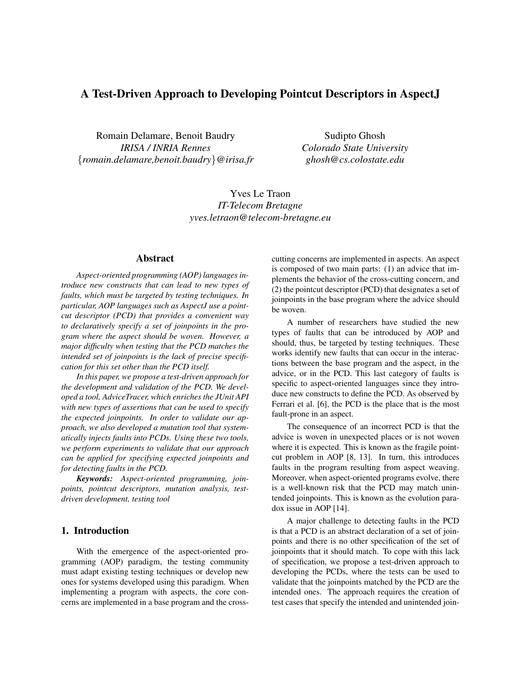### A Test-Driven Approach to Developing Pointcut Descriptors in Aspect.

Romain Delamare, Benoit Baudry *IRISA / INRIA Rennes* {*romain.delamare,benoit.baudry*}*@irisa.fr*

Sudipto Ghosh *Colorado State University ghosh@cs.colostate.edu*

Yves Le Traon *IT-Telecom Bretagne yves.letraon@telecom-bretagne.eu*

#### Abstract

*Aspect-oriented programming (AOP) languages introduce new constructs that can lead to new types of faults, which must be targeted by testing techniques. In particular, AOP languages such as AspectJ use a pointcut descriptor (PCD) that provides a convenient way to declaratively specify a set of joinpoints in the program where the aspect should be woven. However, a major difficulty when testing that the PCD matches the intended set of joinpoints is the lack of precise specification for this set other than the PCD itself.*

*In this paper, we propose a test-driven approach for the development and validation of the PCD. We developed a tool, AdviceTracer, which enriches the JUnit API with new types of assertions that can be used to specify the expected joinpoints. In order to validate our approach, we also developed a mutation tool that systematically injects faults into PCDs. Using these two tools, we perform experiments to validate that our approach can be applied for specifying expected joinpoints and for detecting faults in the PCD.*

*Keywords: Aspect-oriented programming, joinpoints, pointcut descriptors, mutation analysis, testdriven development, testing tool*

#### 1. Introduction

With the emergence of the aspect-oriented programming (AOP) paradigm, the testing community must adapt existing testing techniques or develop new ones for systems developed using this paradigm. When implementing a program with aspects, the core concerns are implemented in a base program and the crosscutting concerns are implemented in aspects. An aspect is composed of two main parts: (1) an advice that implements the behavior of the cross-cutting concern, and (2) the pointcut descriptor (PCD) that designates a set of joinpoints in the base program where the advice should be woven.

A number of researchers have studied the new types of faults that can be introduced by AOP and should, thus, be targeted by testing techniques. These works identify new faults that can occur in the interactions between the base program and the aspect, in the advice, or in the PCD. This last category of faults is specific to aspect-oriented languages since they introduce new constructs to define the PCD. As observed by Ferrari et al. [6], the PCD is the place that is the most fault-prone in an aspect.

The consequence of an incorrect PCD is that the advice is woven in unexpected places or is not woven where it is expected. This is known as the fragile pointcut problem in AOP [8, 13]. In turn, this introduces faults in the program resulting from aspect weaving. Moreover, when aspect-oriented programs evolve, there is a well-known risk that the PCD may match unintended joinpoints. This is known as the evolution paradox issue in AOP [14].

A major challenge to detecting faults in the PCD is that a PCD is an abstract declaration of a set of joinpoints and there is no other specification of the set of joinpoints that it should match. To cope with this lack of specification, we propose a test-driven approach to developing the PCDs, where the tests can be used to validate that the joinpoints matched by the PCD are the intended ones. The approach requires the creation of test cases that specify the intended and unintended join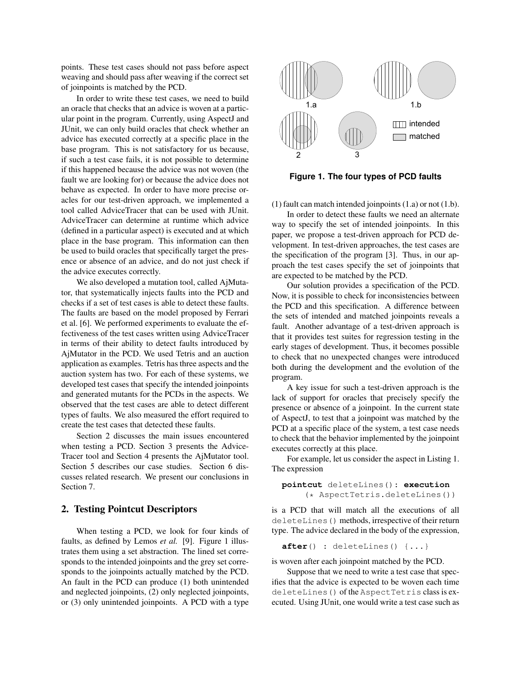points. These test cases should not pass before aspect weaving and should pass after weaving if the correct set of joinpoints is matched by the PCD.

In order to write these test cases, we need to build an oracle that checks that an advice is woven at a particular point in the program. Currently, using AspectJ and JUnit, we can only build oracles that check whether an advice has executed correctly at a specific place in the base program. This is not satisfactory for us because, if such a test case fails, it is not possible to determine if this happened because the advice was not woven (the fault we are looking for) or because the advice does not behave as expected. In order to have more precise oracles for our test-driven approach, we implemented a tool called AdviceTracer that can be used with JUnit. AdviceTracer can determine at runtime which advice (defined in a particular aspect) is executed and at which place in the base program. This information can then be used to build oracles that specifically target the presence or absence of an advice, and do not just check if the advice executes correctly.

We also developed a mutation tool, called AjMutator, that systematically injects faults into the PCD and checks if a set of test cases is able to detect these faults. The faults are based on the model proposed by Ferrari et al. [6]. We performed experiments to evaluate the effectiveness of the test cases written using AdviceTracer in terms of their ability to detect faults introduced by AjMutator in the PCD. We used Tetris and an auction application as examples. Tetris has three aspects and the auction system has two. For each of these systems, we developed test cases that specify the intended joinpoints and generated mutants for the PCDs in the aspects. We observed that the test cases are able to detect different types of faults. We also measured the effort required to create the test cases that detected these faults.

Section 2 discusses the main issues encountered when testing a PCD. Section 3 presents the Advice-Tracer tool and Section 4 presents the AjMutator tool. Section 5 describes our case studies. Section 6 discusses related research. We present our conclusions in Section 7.

#### 2. Testing Pointcut Descriptors

When testing a PCD, we look for four kinds of faults, as defined by Lemos *et al.* [9]. Figure 1 illustrates them using a set abstraction. The lined set corresponds to the intended joinpoints and the grey set corresponds to the joinpoints actually matched by the PCD. An fault in the PCD can produce (1) both unintended and neglected joinpoints, (2) only neglected joinpoints, or (3) only unintended joinpoints. A PCD with a type



**Figure 1. The four types of PCD faults**

(1) fault can match intended joinpoints (1.a) or not (1.b).

In order to detect these faults we need an alternate way to specify the set of intended joinpoints. In this paper, we propose a test-driven approach for PCD development. In test-driven approaches, the test cases are the specification of the program [3]. Thus, in our approach the test cases specify the set of joinpoints that are expected to be matched by the PCD.

Our solution provides a specification of the PCD. Now, it is possible to check for inconsistencies between the PCD and this specification. A difference between the sets of intended and matched joinpoints reveals a fault. Another advantage of a test-driven approach is that it provides test suites for regression testing in the early stages of development. Thus, it becomes possible to check that no unexpected changes were introduced both during the development and the evolution of the program.

A key issue for such a test-driven approach is the lack of support for oracles that precisely specify the presence or absence of a joinpoint. In the current state of AspectJ, to test that a joinpoint was matched by the PCD at a specific place of the system, a test case needs to check that the behavior implemented by the joinpoint executes correctly at this place.

For example, let us consider the aspect in Listing 1. The expression

**pointcut** deleteLines(): **execution** (\* AspectTetris.deleteLines())

is a PCD that will match all the executions of all deleteLines() methods, irrespective of their return type. The advice declared in the body of the expression,

**after**() : deleteLines() {...}

is woven after each joinpoint matched by the PCD.

Suppose that we need to write a test case that specifies that the advice is expected to be woven each time deleteLines() of the AspectTetris class is executed. Using JUnit, one would write a test case such as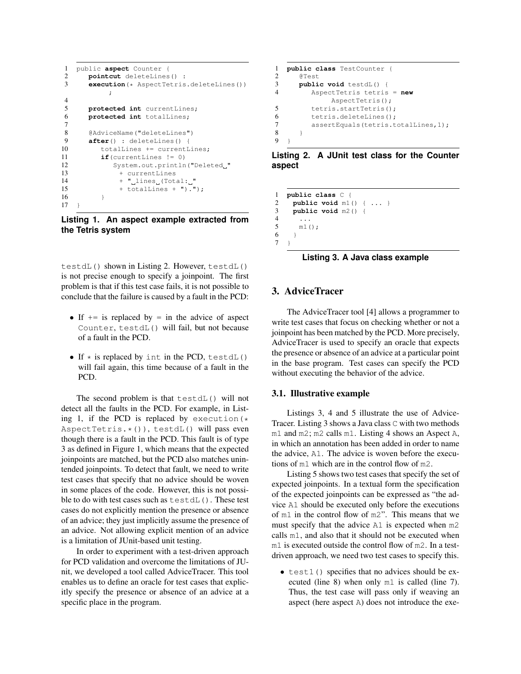```
1 public aspect Counter {
2 pointcut deleteLines() :
3 execution(* AspectTetris.deleteLines())
         ;
4
5 protected int currentLines;
6 protected int totalLines;
7
8 @AdviceName("deleteLines")
9 after() : deleteLines() {
10 totalLines += currentLines;
11 if(currentLines != 0)
12 System.out.println("Deleted "
13 + currentLines
14 + "
lines
(Total:
"
15 + totalLines + ").");
16 }
17 \t3
```
**Listing 1. An aspect example extracted from the Tetris system**

testdL() shown in Listing 2. However, testdL() is not precise enough to specify a joinpoint. The first problem is that if this test case fails, it is not possible to conclude that the failure is caused by a fault in the PCD:

- If  $+=$  is replaced by  $=$  in the advice of aspect Counter, testdL() will fail, but not because of a fault in the PCD.
- If  $\star$  is replaced by int in the PCD, testdL() will fail again, this time because of a fault in the PCD.

The second problem is that testdL() will not detect all the faults in the PCD. For example, in Listing 1, if the PCD is replaced by execution  $(*$ AspectTetris. $*()$ ), testdL() will pass even though there is a fault in the PCD. This fault is of type 3 as defined in Figure 1, which means that the expected joinpoints are matched, but the PCD also matches unintended joinpoints. To detect that fault, we need to write test cases that specify that no advice should be woven in some places of the code. However, this is not possible to do with test cases such as testdL(). These test cases do not explicitly mention the presence or absence of an advice; they just implicitly assume the presence of an advice. Not allowing explicit mention of an advice is a limitation of JUnit-based unit testing.

In order to experiment with a test-driven approach for PCD validation and overcome the limitations of JUnit, we developed a tool called AdviceTracer. This tool enables us to define an oracle for test cases that explicitly specify the presence or absence of an advice at a specific place in the program.

```
1 public class TestCounter {
      2 @Test
3 public void testdL() {
          4 AspectTetris tetris = new
               AspectTetris();
5 tetris.startTetris();<br>6 tetris.deleteLines();
          tetris.deleteLines();
7 assertEquals(tetris.totalLines, 1);
8 }
\overline{Q}
```
**Listing 2. A JUnit test class for the Counter aspect**

```
1 public class C {
      2 public void m1() { ... }
3 public void m2() {
         4 ...
5 m1();
\begin{matrix} 6 & 1 \\ 7 & 1 \end{matrix}\overline{ }
```
**Listing 3. A Java class example**

#### 3. AdviceTracer

The AdviceTracer tool [4] allows a programmer to write test cases that focus on checking whether or not a joinpoint has been matched by the PCD. More precisely, AdviceTracer is used to specify an oracle that expects the presence or absence of an advice at a particular point in the base program. Test cases can specify the PCD without executing the behavior of the advice.

#### 3.1. Illustrative example

Listings 3, 4 and 5 illustrate the use of Advice-Tracer. Listing 3 shows a Java class C with two methods m1 and m2; m2 calls m1. Listing 4 shows an Aspect A, in which an annotation has been added in order to name the advice, A1. The advice is woven before the executions of m1 which are in the control flow of m2.

Listing 5 shows two test cases that specify the set of expected joinpoints. In a textual form the specification of the expected joinpoints can be expressed as "the advice A1 should be executed only before the executions of m1 in the control flow of m2". This means that we must specify that the advice A1 is expected when m2 calls m1, and also that it should not be executed when m1 is executed outside the control flow of m2. In a testdriven approach, we need two test cases to specify this.

• test1() specifies that no advices should be executed (line 8) when only m1 is called (line 7). Thus, the test case will pass only if weaving an aspect (here aspect A) does not introduce the exe-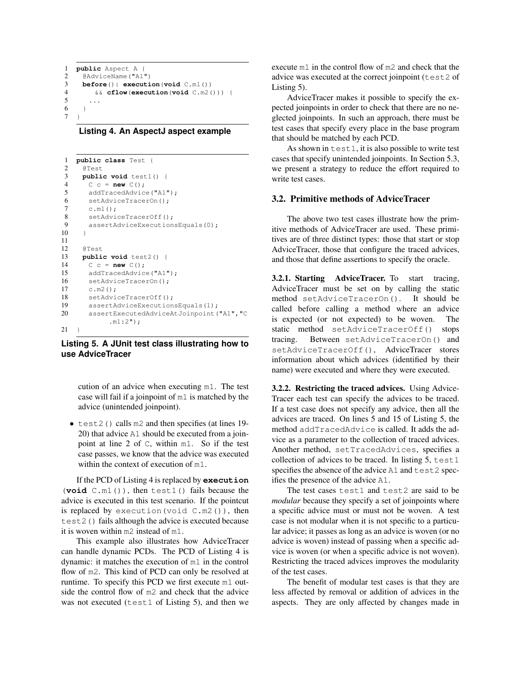```
1 public Aspect A {
2 @AdviceName("A1")
3 before(): execution(void C.m1())
       4 && cflow(execution(void C.m2())) {
5 ...
6 }
7
```
**Listing 4. An AspectJ aspect example**

```
1 public class Test {
2 @Test
3 public void test1() {
4 C c = new C();
5 addTracedAdvice("A1");
6 setAdviceTracerOn();
7 c.m1();
8 setAdviceTracerOff();
9 assertAdviceExecutionsEquals(0);
10 \rightarrow11
12 @Test
13 public void test2() {
14 C c = new C();
15 addTracedAdvice("A1");
16 setAdviceTracerOn();
17 c.m2();
18 setAdviceTracerOff();
19 assertAdviceExecutionsEquals(1);
20 assertExecutedAdviceAtJoinpoint ("A1", "C
           .m1:2");
21 \quad \}
```
#### **Listing 5. A JUnit test class illustrating how to use AdviceTracer**

cution of an advice when executing m1. The test case will fail if a joinpoint of m1 is matched by the advice (unintended joinpoint).

• test2() calls m2 and then specifies (at lines 19- 20) that advice A1 should be executed from a joinpoint at line 2 of C, within m1. So if the test case passes, we know that the advice was executed within the context of execution of m1.

If the PCD of Listing 4 is replaced by **execution** (**void** C.m1()), then test1() fails because the advice is executed in this test scenario. If the pointcut is replaced by execution (void  $C.m2()$ ), then test2() fails although the advice is executed because it is woven within m2 instead of m1.

This example also illustrates how AdviceTracer can handle dynamic PCDs. The PCD of Listing 4 is dynamic: it matches the execution of m1 in the control flow of m2. This kind of PCD can only be resolved at runtime. To specify this PCD we first execute m1 outside the control flow of m2 and check that the advice was not executed (test1 of Listing 5), and then we

execute m1 in the control flow of m2 and check that the advice was executed at the correct joinpoint (test2 of Listing 5).

AdviceTracer makes it possible to specify the expected joinpoints in order to check that there are no neglected joinpoints. In such an approach, there must be test cases that specify every place in the base program that should be matched by each PCD.

As shown in test1, it is also possible to write test cases that specify unintended joinpoints. In Section 5.3, we present a strategy to reduce the effort required to write test cases.

#### 3.2. Primitive methods of AdviceTracer

The above two test cases illustrate how the primitive methods of AdviceTracer are used. These primitives are of three distinct types: those that start or stop AdviceTracer, those that configure the traced advices, and those that define assertions to specify the oracle.

3.2.1. Starting AdviceTracer. To start tracing, AdviceTracer must be set on by calling the static method setAdviceTracerOn(). It should be called before calling a method where an advice is expected (or not expected) to be woven. The static method setAdviceTracerOff() stops tracing. Between setAdviceTracerOn() and setAdviceTracerOff(), AdviceTracer stores information about which advices (identified by their name) were executed and where they were executed.

3.2.2. Restricting the traced advices. Using Advice-Tracer each test can specify the advices to be traced. If a test case does not specify any advice, then all the advices are traced. On lines 5 and 15 of Listing 5, the method addTracedAdvice is called. It adds the advice as a parameter to the collection of traced advices. Another method, setTracedAdvices, specifies a collection of advices to be traced. In listing 5, test1 specifies the absence of the advice A1 and test2 specifies the presence of the advice A1.

The test cases test1 and test2 are said to be *modular* because they specify a set of joinpoints where a specific advice must or must not be woven. A test case is not modular when it is not specific to a particular advice; it passes as long as an advice is woven (or no advice is woven) instead of passing when a specific advice is woven (or when a specific advice is not woven). Restricting the traced advices improves the modularity of the test cases.

The benefit of modular test cases is that they are less affected by removal or addition of advices in the aspects. They are only affected by changes made in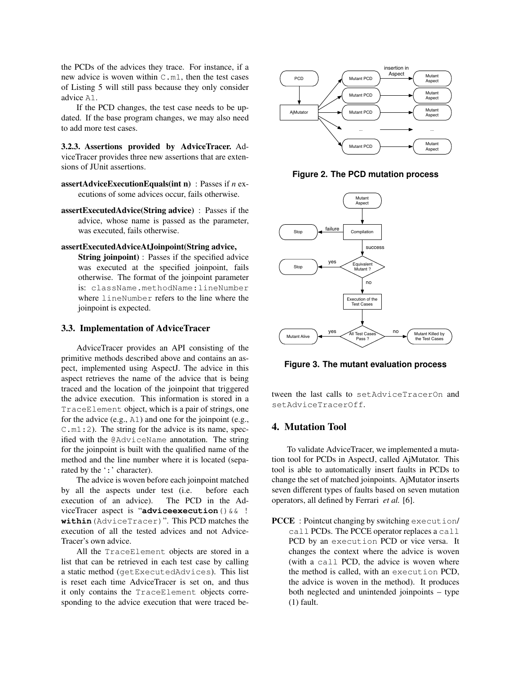the PCDs of the advices they trace. For instance, if a new advice is woven within  $C.m1$ , then the test cases of Listing 5 will still pass because they only consider advice A1.

If the PCD changes, the test case needs to be updated. If the base program changes, we may also need to add more test cases.

3.2.3. Assertions provided by AdviceTracer. AdviceTracer provides three new assertions that are extensions of JUnit assertions.

- assertAdviceExecutionEquals(int n) : Passes if *n* executions of some advices occur, fails otherwise.
- assertExecutedAdvice(String advice) : Passes if the advice, whose name is passed as the parameter, was executed, fails otherwise.

#### assertExecutedAdviceAtJoinpoint(String advice,

String joinpoint) : Passes if the specified advice was executed at the specified joinpoint, fails otherwise. The format of the joinpoint parameter is: className.methodName:lineNumber where lineNumber refers to the line where the joinpoint is expected.

#### 3.3. Implementation of AdviceTracer

AdviceTracer provides an API consisting of the primitive methods described above and contains an aspect, implemented using AspectJ. The advice in this aspect retrieves the name of the advice that is being traced and the location of the joinpoint that triggered the advice execution. This information is stored in a TraceElement object, which is a pair of strings, one for the advice (e.g., A1) and one for the joinpoint (e.g.,  $C.m1:2$ ). The string for the advice is its name, specified with the @AdviceName annotation. The string for the joinpoint is built with the qualified name of the method and the line number where it is located (separated by the ':' character).

The advice is woven before each joinpoint matched by all the aspects under test (i.e. before each execution of an advice). The PCD in the AdviceTracer aspect is "**adviceexecution**()&& ! **within**(AdviceTracer)". This PCD matches the execution of all the tested advices and not Advice-Tracer's own advice.

All the TraceElement objects are stored in a list that can be retrieved in each test case by calling a static method (getExecutedAdvices). This list is reset each time AdviceTracer is set on, and thus it only contains the TraceElement objects corresponding to the advice execution that were traced be-



**Figure 2. The PCD mutation process**



**Figure 3. The mutant evaluation process**

tween the last calls to setAdviceTracerOn and setAdviceTracerOff.

#### 4. Mutation Tool

To validate AdviceTracer, we implemented a mutation tool for PCDs in AspectJ, called AjMutator. This tool is able to automatically insert faults in PCDs to change the set of matched joinpoints. AjMutator inserts seven different types of faults based on seven mutation operators, all defined by Ferrari *et al.* [6].

PCCE : Pointcut changing by switching execution/ call PCDs. The PCCE operator replaces a call PCD by an execution PCD or vice versa. It changes the context where the advice is woven (with a call PCD, the advice is woven where the method is called, with an execution PCD, the advice is woven in the method). It produces both neglected and unintended joinpoints – type (1) fault.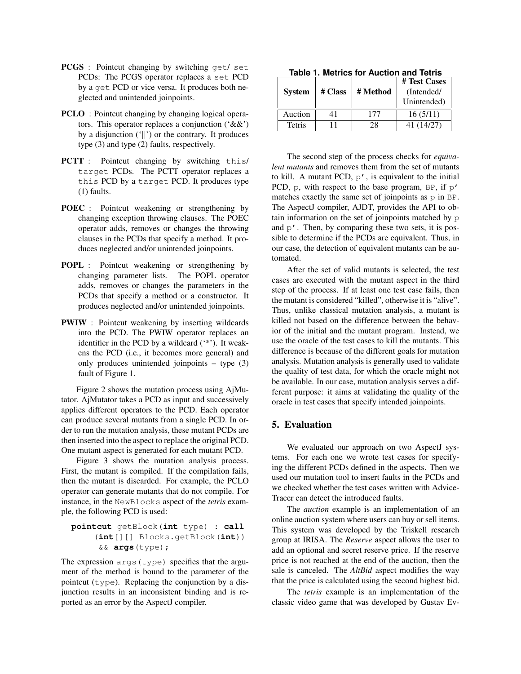- PCGS : Pointcut changing by switching get/ set PCDs: The PCGS operator replaces a set PCD by a get PCD or vice versa. It produces both neglected and unintended joinpoints.
- **PCLO**: Pointcut changing by changing logical operators. This operator replaces a conjunction ('&&') by a disjunction  $(|$ ]) or the contrary. It produces type (3) and type (2) faults, respectively.
- PCTT : Pointcut changing by switching this/ target PCDs. The PCTT operator replaces a this PCD by a target PCD. It produces type (1) faults.
- POEC : Pointcut weakening or strengthening by changing exception throwing clauses. The POEC operator adds, removes or changes the throwing clauses in the PCDs that specify a method. It produces neglected and/or unintended joinpoints.
- POPL : Pointcut weakening or strengthening by changing parameter lists. The POPL operator adds, removes or changes the parameters in the PCDs that specify a method or a constructor. It produces neglected and/or unintended joinpoints.
- PWIW : Pointcut weakening by inserting wildcards into the PCD. The PWIW operator replaces an identifier in the PCD by a wildcard (\*\*'). It weakens the PCD (i.e., it becomes more general) and only produces unintended joinpoints – type (3) fault of Figure 1.

Figure 2 shows the mutation process using AjMutator. AjMutator takes a PCD as input and successively applies different operators to the PCD. Each operator can produce several mutants from a single PCD. In order to run the mutation analysis, these mutant PCDs are then inserted into the aspect to replace the original PCD. One mutant aspect is generated for each mutant PCD.

Figure 3 shows the mutation analysis process. First, the mutant is compiled. If the compilation fails, then the mutant is discarded. For example, the PCLO operator can generate mutants that do not compile. For instance, in the NewBlocks aspect of the *tetris* example, the following PCD is used:

#### **pointcut** getBlock(**int** type) : **call** (**int**[][] Blocks.getBlock(**int**)) && **args**(type);

The expression args(type) specifies that the argument of the method is bound to the parameter of the pointcut  $(type)$ . Replacing the conjunction by a disjunction results in an inconsistent binding and is reported as an error by the AspectJ compiler.

| Table T. Metrics for Auction and Tetris |         |          |              |  |  |  |
|-----------------------------------------|---------|----------|--------------|--|--|--|
|                                         |         |          | # Test Cases |  |  |  |
| <b>System</b>                           | # Class | # Method | (Intended/   |  |  |  |
|                                         |         |          | Unintended)  |  |  |  |
| Auction                                 | 41      | 177      | 16(5/11)     |  |  |  |
| Tetris                                  |         | 28       | 41 (14/27)   |  |  |  |

**Table 1. Metrics for Auction and Tetris**

The second step of the process checks for *equivalent mutants* and removes them from the set of mutants to kill. A mutant PCD,  $p'$ , is equivalent to the initial PCD,  $p$ , with respect to the base program, BP, if  $p'$ matches exactly the same set of joinpoints as p in BP. The AspectJ compiler, AJDT, provides the API to obtain information on the set of joinpoints matched by p and  $p'$ . Then, by comparing these two sets, it is possible to determine if the PCDs are equivalent. Thus, in our case, the detection of equivalent mutants can be automated.

After the set of valid mutants is selected, the test cases are executed with the mutant aspect in the third step of the process. If at least one test case fails, then the mutant is considered "killed", otherwise it is "alive". Thus, unlike classical mutation analysis, a mutant is killed not based on the difference between the behavior of the initial and the mutant program. Instead, we use the oracle of the test cases to kill the mutants. This difference is because of the different goals for mutation analysis. Mutation analysis is generally used to validate the quality of test data, for which the oracle might not be available. In our case, mutation analysis serves a different purpose: it aims at validating the quality of the oracle in test cases that specify intended joinpoints.

#### 5. Evaluation

We evaluated our approach on two AspectJ systems. For each one we wrote test cases for specifying the different PCDs defined in the aspects. Then we used our mutation tool to insert faults in the PCDs and we checked whether the test cases written with Advice-Tracer can detect the introduced faults.

The *auction* example is an implementation of an online auction system where users can buy or sell items. This system was developed by the Triskell research group at IRISA. The *Reserve* aspect allows the user to add an optional and secret reserve price. If the reserve price is not reached at the end of the auction, then the sale is canceled. The *AltBid* aspect modifies the way that the price is calculated using the second highest bid.

The *tetris* example is an implementation of the classic video game that was developed by Gustav Ev-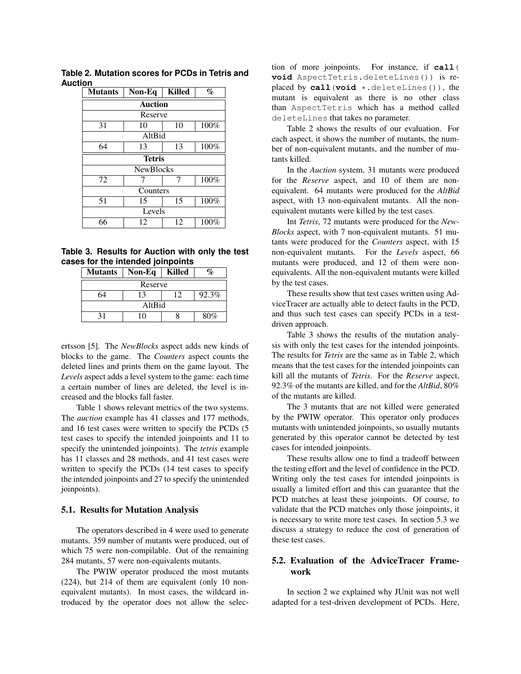| <b>Mutants</b>   | Non-Eq         |    | %    |  |  |  |  |
|------------------|----------------|----|------|--|--|--|--|
|                  | <b>Auction</b> |    |      |  |  |  |  |
| Reserve          |                |    |      |  |  |  |  |
| 31               | 10             | 10 | 100% |  |  |  |  |
| AltBid           |                |    |      |  |  |  |  |
| 64               | 13             | 13 | 100% |  |  |  |  |
| <b>Tetris</b>    |                |    |      |  |  |  |  |
| <b>NewBlocks</b> |                |    |      |  |  |  |  |
| 72               |                | 7  | 100% |  |  |  |  |
| Counters         |                |    |      |  |  |  |  |
| 51               | 15             | 15 | 100% |  |  |  |  |
| Levels           |                |    |      |  |  |  |  |
| 66               | 12             | 12 | 100% |  |  |  |  |

**Table 2. Mutation scores for PCDs in Tetris and Auction**

**Table 3. Results for Auction with only the test cases for the intended joinpoints**

| <b>Mutants</b> | Non-Eq | <b>Killed</b> |       |  |  |
|----------------|--------|---------------|-------|--|--|
| Reserve        |        |               |       |  |  |
|                | 13     |               | 92.3% |  |  |
| AltBid         |        |               |       |  |  |
|                | 10     |               | 80%   |  |  |

ertsson [5]. The *NewBlocks* aspect adds new kinds of blocks to the game. The *Counters* aspect counts the deleted lines and prints them on the game layout. The *Levels* aspect adds a level system to the game: each time a certain number of lines are deleted, the level is increased and the blocks fall faster.

Table 1 shows relevant metrics of the two systems. The *auction* example has 41 classes and 177 methods, and 16 test cases were written to specify the PCDs (5 test cases to specify the intended joinpoints and 11 to specify the unintended joinpoints). The *tetris* example has 11 classes and 28 methods, and 41 test cases were written to specify the PCDs (14 test cases to specify the intended joinpoints and 27 to specify the unintended joinpoints).

#### 5.1. Results for Mutation Analysis

The operators described in 4 were used to generate mutants. 359 number of mutants were produced, out of which 75 were non-compilable. Out of the remaining 284 mutants, 57 were non-equivalents mutants.

The PWIW operator produced the most mutants (224), but 214 of them are equivalent (only 10 nonequivalent mutants). In most cases, the wildcard introduced by the operator does not allow the selection of more joinpoints. For instance, if **call**( **void** AspectTetris.deleteLines()) is replaced by **call**(**void** \*.deleteLines()), the mutant is equivalent as there is no other class than AspectTetris which has a method called deleteLines that takes no parameter.

Table 2 shows the results of our evaluation. For each aspect, it shows the number of mutants, the number of non-equivalent mutants, and the number of mutants killed.

In the *Auction* system, 31 mutants were produced for the *Reserve* aspect, and 10 of them are nonequivalent. 64 mutants were produced for the *AltBid* aspect, with 13 non-equivalent mutants. All the nonequivalent mutants were killed by the test cases.

Int *Tetris*, 72 mutants were produced for the *New-Blocks* aspect, with 7 non-equivalent mutants. 51 mutants were produced for the *Counters* aspect, with 15 non-equivalent mutants. For the *Levels* aspect, 66 mutants were produced, and 12 of them were nonequivalents. All the non-equivalent mutants were killed by the test cases.

These results show that test cases written using AdviceTracer are actually able to detect faults in the PCD, and thus such test cases can specify PCDs in a testdriven approach.

Table 3 shows the results of the mutation analysis with only the test cases for the intended joinpoints. The results for *Tetris* are the same as in Table 2, which means that the test cases for the intended joinpoints can kill all the mutants of *Tetris*. For the *Reserve* aspect, 92.3% of the mutants are killed, and for the *AltBid*, 80% of the mutants are killed.

The 3 mutants that are not killed were generated by the PWIW operator. This operator only produces mutants with unintended joinpoints, so usually mutants generated by this operator cannot be detected by test cases for intended joinpoints.

These results allow one to find a tradeoff between the testing effort and the level of confidence in the PCD. Writing only the test cases for intended joinpoints is usually a limited effort and this can guarantee that the PCD matches at least these joinpoints. Of course, to validate that the PCD matches only those joinpoints, it is necessary to write more test cases. In section 5.3 we discuss a strategy to reduce the cost of generation of these test cases.

#### 5.2. Evaluation of the AdviceTracer Framework

In section 2 we explained why JUnit was not well adapted for a test-driven development of PCDs. Here,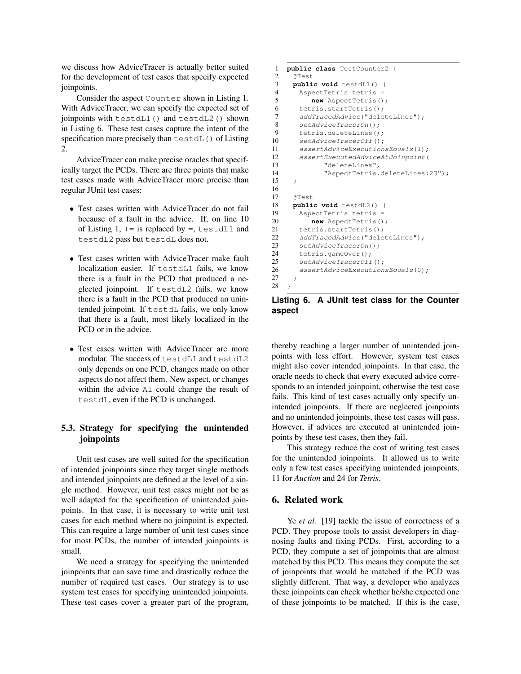we discuss how AdviceTracer is actually better suited for the development of test cases that specify expected joinpoints.

Consider the aspect Counter shown in Listing 1. With AdviceTracer, we can specify the expected set of joinpoints with testdL1() and testdL2() shown in Listing 6. These test cases capture the intent of the specification more precisely than testdL() of Listing 2.

AdviceTracer can make precise oracles that specifically target the PCDs. There are three points that make test cases made with AdviceTracer more precise than regular JUnit test cases:

- Test cases written with AdviceTracer do not fail because of a fault in the advice. If, on line 10 of Listing  $1, +=$  is replaced by =, testdL1 and testdL2 pass but testdL does not.
- Test cases written with AdviceTracer make fault localization easier. If testdL1 fails, we know there is a fault in the PCD that produced a neglected joinpoint. If testdL2 fails, we know there is a fault in the PCD that produced an unintended joinpoint. If testdL fails, we only know that there is a fault, most likely localized in the PCD or in the advice.
- Test cases written with AdviceTracer are more modular. The success of testdL1 and testdL2 only depends on one PCD, changes made on other aspects do not affect them. New aspect, or changes within the advice A1 could change the result of testdL, even if the PCD is unchanged.

### 5.3. Strategy for specifying the unintended joinpoints

Unit test cases are well suited for the specification of intended joinpoints since they target single methods and intended joinpoints are defined at the level of a single method. However, unit test cases might not be as well adapted for the specification of unintended joinpoints. In that case, it is necessary to write unit test cases for each method where no joinpoint is expected. This can require a large number of unit test cases since for most PCDs, the number of intended joinpoints is small.

We need a strategy for specifying the unintended joinpoints that can save time and drastically reduce the number of required test cases. Our strategy is to use system test cases for specifying unintended joinpoints. These test cases cover a greater part of the program,

```
1 public class TestCounter2 {
 2 @Test
 3 public void testdL1() {<br>4 AspectTetris tetris =
       AspectTetris tetris =
 5 new AspectTetris();
 6 tetris.startTetris();<br>7 addTracedAdvice("dele
       addTracedAdvice("deleteLines");
 8 setAdviceTracerOn();
 9 tetris.deleteLines();
10 setAdviceTracerOff();<br>11 assertAdviceExecution
       assertAdviceExecutionsEquals(1);
12 assertExecutedAdviceAtJoinpoint(
13 "deleteLines",
14 "AspectTetris.deleteLines:23");
15 \rightarrow16
17 @Test
18 public void testdL2() {
19 AspectTetris tetris =
20 new AspectTetris();
21 tetris.startTetris();
22 addTracedAdvice("deleteLines");<br>23 setAdviceTracerOn();
       setAdviceTracerOn();
24 tetris.gameOver();<br>25 setAdviceTracerOff
       setAdviceTracerOff();
26 assertAdviceExecutionsEquals(0);
27 }
28 }
```
**Listing 6. A JUnit test class for the Counter aspect**

thereby reaching a larger number of unintended joinpoints with less effort. However, system test cases might also cover intended joinpoints. In that case, the oracle needs to check that every executed advice corresponds to an intended joinpoint, otherwise the test case fails. This kind of test cases actually only specify unintended joinpoints. If there are neglected joinpoints and no unintended joinpoints, these test cases will pass. However, if advices are executed at unintended joinpoints by these test cases, then they fail.

This strategy reduce the cost of writing test cases for the unintended joinpoints. It allowed us to write only a few test cases specifying unintended joinpoints, 11 for *Auction* and 24 for *Tetris*.

#### 6. Related work

Ye *et al.* [19] tackle the issue of correctness of a PCD. They propose tools to assist developers in diagnosing faults and fixing PCDs. First, according to a PCD, they compute a set of joinpoints that are almost matched by this PCD. This means they compute the set of joinpoints that would be matched if the PCD was slightly different. That way, a developer who analyzes these joinpoints can check whether he/she expected one of these joinpoints to be matched. If this is the case,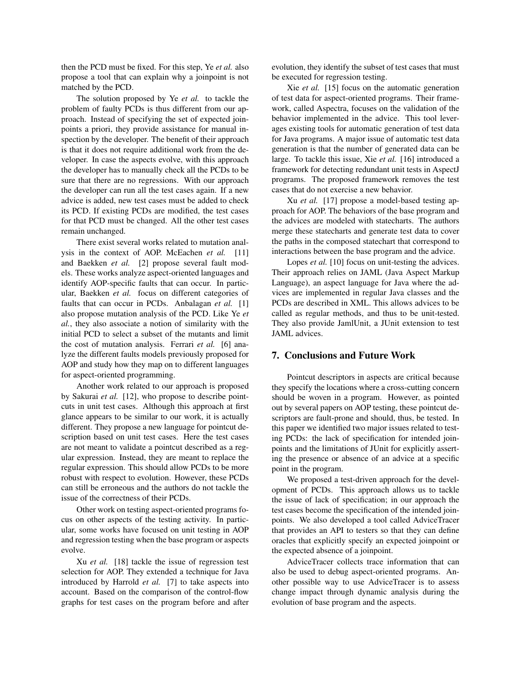then the PCD must be fixed. For this step, Ye *et al.* also propose a tool that can explain why a joinpoint is not matched by the PCD.

The solution proposed by Ye *et al.* to tackle the problem of faulty PCDs is thus different from our approach. Instead of specifying the set of expected joinpoints a priori, they provide assistance for manual inspection by the developer. The benefit of their approach is that it does not require additional work from the developer. In case the aspects evolve, with this approach the developer has to manually check all the PCDs to be sure that there are no regressions. With our approach the developer can run all the test cases again. If a new advice is added, new test cases must be added to check its PCD. If existing PCDs are modified, the test cases for that PCD must be changed. All the other test cases remain unchanged.

There exist several works related to mutation analysis in the context of AOP. McEachen *et al.* [11] and Baekken *et al.* [2] propose several fault models. These works analyze aspect-oriented languages and identify AOP-specific faults that can occur. In particular, Baekken *et al.* focus on different categories of faults that can occur in PCDs. Anbalagan *et al.* [1] also propose mutation analysis of the PCD. Like Ye *et al.*, they also associate a notion of similarity with the initial PCD to select a subset of the mutants and limit the cost of mutation analysis. Ferrari *et al.* [6] analyze the different faults models previously proposed for AOP and study how they map on to different languages for aspect-oriented programming.

Another work related to our approach is proposed by Sakurai *et al.* [12], who propose to describe pointcuts in unit test cases. Although this approach at first glance appears to be similar to our work, it is actually different. They propose a new language for pointcut description based on unit test cases. Here the test cases are not meant to validate a pointcut described as a regular expression. Instead, they are meant to replace the regular expression. This should allow PCDs to be more robust with respect to evolution. However, these PCDs can still be erroneous and the authors do not tackle the issue of the correctness of their PCDs.

Other work on testing aspect-oriented programs focus on other aspects of the testing activity. In particular, some works have focused on unit testing in AOP and regression testing when the base program or aspects evolve.

Xu *et al.* [18] tackle the issue of regression test selection for AOP. They extended a technique for Java introduced by Harrold *et al.* [7] to take aspects into account. Based on the comparison of the control-flow graphs for test cases on the program before and after

evolution, they identify the subset of test cases that must be executed for regression testing.

Xie *et al.* [15] focus on the automatic generation of test data for aspect-oriented programs. Their framework, called Aspectra, focuses on the validation of the behavior implemented in the advice. This tool leverages existing tools for automatic generation of test data for Java programs. A major issue of automatic test data generation is that the number of generated data can be large. To tackle this issue, Xie *et al.* [16] introduced a framework for detecting redundant unit tests in AspectJ programs. The proposed framework removes the test cases that do not exercise a new behavior.

Xu *et al.* [17] propose a model-based testing approach for AOP. The behaviors of the base program and the advices are modeled with statecharts. The authors merge these statecharts and generate test data to cover the paths in the composed statechart that correspond to interactions between the base program and the advice.

Lopes *et al.* [10] focus on unit-testing the advices. Their approach relies on JAML (Java Aspect Markup Language), an aspect language for Java where the advices are implemented in regular Java classes and the PCDs are described in XML. This allows advices to be called as regular methods, and thus to be unit-tested. They also provide JamlUnit, a JUnit extension to test JAML advices.

#### 7. Conclusions and Future Work

Pointcut descriptors in aspects are critical because they specify the locations where a cross-cutting concern should be woven in a program. However, as pointed out by several papers on AOP testing, these pointcut descriptors are fault-prone and should, thus, be tested. In this paper we identified two major issues related to testing PCDs: the lack of specification for intended joinpoints and the limitations of JUnit for explicitly asserting the presence or absence of an advice at a specific point in the program.

We proposed a test-driven approach for the development of PCDs. This approach allows us to tackle the issue of lack of specification; in our approach the test cases become the specification of the intended joinpoints. We also developed a tool called AdviceTracer that provides an API to testers so that they can define oracles that explicitly specify an expected joinpoint or the expected absence of a joinpoint.

AdviceTracer collects trace information that can also be used to debug aspect-oriented programs. Another possible way to use AdviceTracer is to assess change impact through dynamic analysis during the evolution of base program and the aspects.